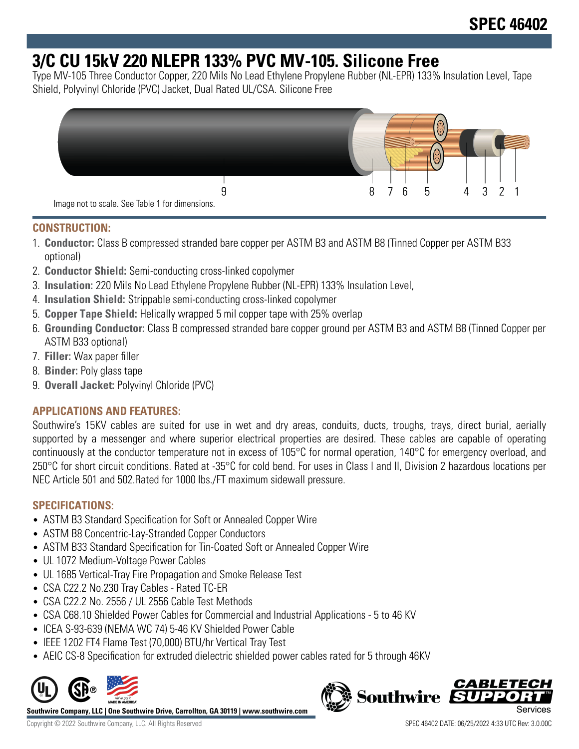# **3/C CU 15kV 220 NLEPR 133% PVC MV-105. Silicone Free**

Type MV-105 Three Conductor Copper, 220 Mils No Lead Ethylene Propylene Rubber (NL-EPR) 133% Insulation Level, Tape Shield, Polyvinyl Chloride (PVC) Jacket, Dual Rated UL/CSA. Silicone Free



# **CONSTRUCTION:**

- 1. **Conductor:** Class B compressed stranded bare copper per ASTM B3 and ASTM B8 (Tinned Copper per ASTM B33 optional)
- 2. **Conductor Shield:** Semi-conducting cross-linked copolymer
- 3. **Insulation:** 220 Mils No Lead Ethylene Propylene Rubber (NL-EPR) 133% Insulation Level,
- 4. **Insulation Shield:** Strippable semi-conducting cross-linked copolymer
- 5. **Copper Tape Shield:** Helically wrapped 5 mil copper tape with 25% overlap
- 6. **Grounding Conductor:** Class B compressed stranded bare copper ground per ASTM B3 and ASTM B8 (Tinned Copper per ASTM B33 optional)
- 7. **Filler:** Wax paper filler
- 8. **Binder:** Poly glass tape
- 9. **Overall Jacket:** Polyvinyl Chloride (PVC)

# **APPLICATIONS AND FEATURES:**

Southwire's 15KV cables are suited for use in wet and dry areas, conduits, ducts, troughs, trays, direct burial, aerially supported by a messenger and where superior electrical properties are desired. These cables are capable of operating continuously at the conductor temperature not in excess of 105°C for normal operation, 140°C for emergency overload, and 250°C for short circuit conditions. Rated at -35°C for cold bend. For uses in Class I and II, Division 2 hazardous locations per NEC Article 501 and 502.Rated for 1000 lbs./FT maximum sidewall pressure.

### **SPECIFICATIONS:**

- ASTM B3 Standard Specification for Soft or Annealed Copper Wire
- ASTM B8 Concentric-Lay-Stranded Copper Conductors
- ASTM B33 Standard Specification for Tin-Coated Soft or Annealed Copper Wire
- UL 1072 Medium-Voltage Power Cables
- UL 1685 Vertical-Tray Fire Propagation and Smoke Release Test
- CSA C22.2 No.230 Tray Cables Rated TC-ER
- CSA C22.2 No. 2556 / UL 2556 Cable Test Methods
- CSA C68.10 Shielded Power Cables for Commercial and Industrial Applications 5 to 46 KV
- ICEA S-93-639 (NEMA WC 74) 5-46 KV Shielded Power Cable
- IEEE 1202 FT4 Flame Test (70,000) BTU/hr Vertical Tray Test
- AEIC CS-8 Specification for extruded dielectric shielded power cables rated for 5 through 46KV



**Southwire Company, LLC | One Southwire Drive, Carrollton, GA 30119 | www.southwire.com**

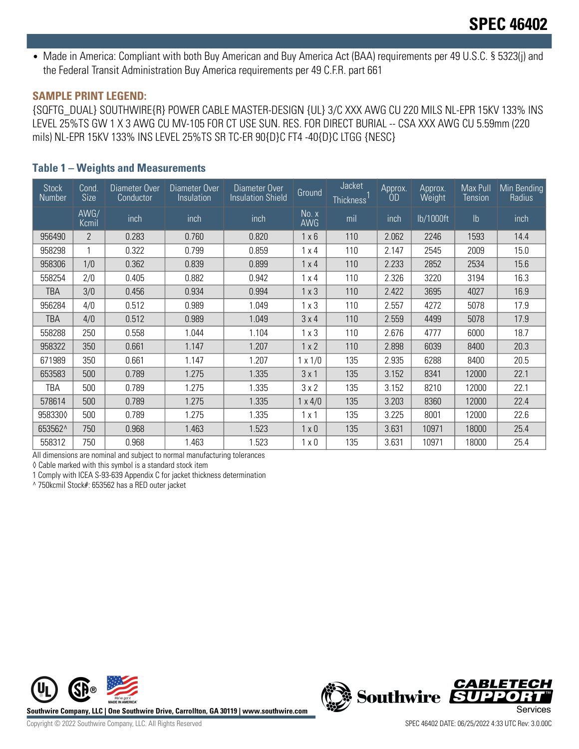• Made in America: Compliant with both Buy American and Buy America Act (BAA) requirements per 49 U.S.C. § 5323(j) and the Federal Transit Administration Buy America requirements per 49 C.F.R. part 661

#### **SAMPLE PRINT LEGEND:**

{SQFTG\_DUAL} SOUTHWIRE{R} POWER CABLE MASTER-DESIGN {UL} 3/C XXX AWG CU 220 MILS NL-EPR 15KV 133% INS LEVEL 25%TS GW 1 X 3 AWG CU MV-105 FOR CT USE SUN. RES. FOR DIRECT BURIAL -- CSA XXX AWG CU 5.59mm (220 mils) NL-EPR 15KV 133% INS LEVEL 25%TS SR TC-ER 90{D}C FT4 -40{D}C LTGG {NESC}

#### **Table 1 – Weights and Measurements**

| <b>Stock</b><br>Number | Cond.<br>Size  | Diameter Over<br>Conductor | Diameter Over<br><i>Insulation</i> | Diameter Over<br><b>Insulation Shield</b> | Ground         | Jacket<br><b>Thickness</b> | Approx.<br>ÓD. | Approx.<br>Weight | Max Pull<br><b>Tension</b> | Min Bending<br>Radius |
|------------------------|----------------|----------------------------|------------------------------------|-------------------------------------------|----------------|----------------------------|----------------|-------------------|----------------------------|-----------------------|
|                        | AWG/<br>Kcmil  | inch.                      | inch                               | inch                                      | No. x<br>AWG   | mil                        | inch           | lb/1000ft         | $\mathsf{lb}$              | inch                  |
| 956490                 | $\overline{2}$ | 0.283                      | 0.760                              | 0.820                                     | $1 \times 6$   | 110                        | 2.062          | 2246              | 1593                       | 14.4                  |
| 958298                 |                | 0.322                      | 0.799                              | 0.859                                     | $1 \times 4$   | 110                        | 2.147          | 2545              | 2009                       | 15.0                  |
| 958306                 | 1/0            | 0.362                      | 0.839                              | 0.899                                     | $1 \times 4$   | 110                        | 2.233          | 2852              | 2534                       | 15.6                  |
| 558254                 | 2/0            | 0.405                      | 0.882                              | 0.942                                     | $1 \times 4$   | 110                        | 2.326          | 3220              | 3194                       | 16.3                  |
| <b>TBA</b>             | 3/0            | 0.456                      | 0.934                              | 0.994                                     | $1 \times 3$   | 110                        | 2.422          | 3695              | 4027                       | 16.9                  |
| 956284                 | 4/0            | 0.512                      | 0.989                              | 1.049                                     | $1 \times 3$   | 110                        | 2.557          | 4272              | 5078                       | 17.9                  |
| TBA                    | 4/0            | 0.512                      | 0.989                              | 1.049                                     | 3x4            | 110                        | 2.559          | 4499              | 5078                       | 17.9                  |
| 558288                 | 250            | 0.558                      | 1.044                              | 1.104                                     | $1 \times 3$   | 110                        | 2.676          | 4777              | 6000                       | 18.7                  |
| 958322                 | 350            | 0.661                      | 1.147                              | 1.207                                     | $1 \times 2$   | 110                        | 2.898          | 6039              | 8400                       | 20.3                  |
| 671989                 | 350            | 0.661                      | 1.147                              | 1.207                                     | $1 \times 1/0$ | 135                        | 2.935          | 6288              | 8400                       | 20.5                  |
| 653583                 | 500            | 0.789                      | 1.275                              | 1.335                                     | 3x1            | 135                        | 3.152          | 8341              | 12000                      | 22.1                  |
| TBA                    | 500            | 0.789                      | 1.275                              | 1.335                                     | 3x2            | 135                        | 3.152          | 8210              | 12000                      | 22.1                  |
| 578614                 | 500            | 0.789                      | 1.275                              | 1.335                                     | $1 \times 4/0$ | 135                        | 3.203          | 8360              | 12000                      | 22.4                  |
| 9583300                | 500            | 0.789                      | 1.275                              | 1.335                                     | 1x1            | 135                        | 3.225          | 8001              | 12000                      | 22.6                  |
| 653562^                | 750            | 0.968                      | 1.463                              | 1.523                                     | $1 \times 0$   | 135                        | 3.631          | 10971             | 18000                      | 25.4                  |
| 558312                 | 750            | 0.968                      | 1.463                              | 1.523                                     | $1 \times 0$   | 135                        | 3.631          | 10971             | 18000                      | 25.4                  |

All dimensions are nominal and subject to normal manufacturing tolerances

◊ Cable marked with this symbol is a standard stock item

1 Comply with ICEA S-93-639 Appendix C for jacket thickness determination

^ 750kcmil Stock#: 653562 has a RED outer jacket